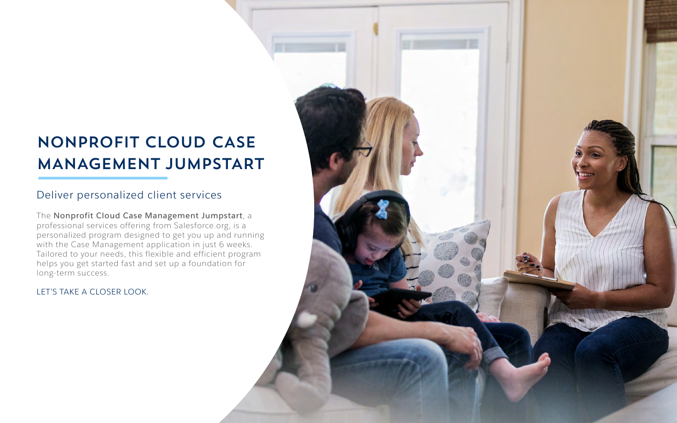# NONPROFIT CLOUD CASE MANAGEMENT JUMPSTART

The **Nonprofit Cloud Case Management Jumpstart**, a professional services offering from Salesforce.org, is a personalized program designed to get you up and running with the Case Management application in just 6 weeks. Tailored to your needs, this flexible and efficient program helps you get started fast and set up a foundation for long-term success.

#### LET'S TAKE A CLOSER LOOK.



### Deliver personalized client services